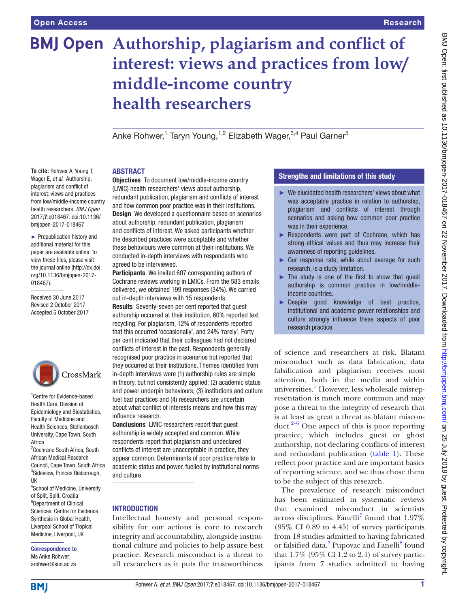# **BMJ Open Authorship, plagiarism and conflict of interest: views and practices from low/ middle-income country health researchers**

Anke Rohwer,<sup>1</sup> Taryn Young,<sup>1,2</sup> Elizabeth Wager,<sup>3,4</sup> Paul Garner<sup>5</sup>

#### **ABSTRACT**

**To cite:** Rohwer A, Young T, Wager E, *et al*. Authorship, plagiarism and conflict of interest: views and practices from low/middle-income country health researchers. *BMJ Open* 2017;7:e018467. doi:10.1136/ bmjopen-2017-018467

► Prepublication history and additional material for this paper are available online. To view these files, please visit the journal online [\(http://dx.doi.](http://dx.doi.org/10.1136/bmjopen-2017-018467) [org/10.1136/bmjopen-2017-](http://dx.doi.org/10.1136/bmjopen-2017-018467) [018467\)](http://dx.doi.org/10.1136/bmjopen-2017-018467).

Received 30 June 2017 Revised 2 October 2017 Accepted 5 October 2017



<sup>1</sup> Centre for Evidence-based Health Care, Division of Epidemiology and Biostatistics, Faculty of Medicine and Health Sciences, Stellenbosch University, Cape Town, South Africa

2 Cochrane South Africa, South African Medical Research Council, Cape Town, South Africa 3 Sideview, Princes Risborough, UK

4 School of Medicine, University of Split, Split, Croatia 5 Department of Clinical Sciences, Centre for Evidence Synthesis in Global Health, Liverpool School of Tropical Medicine, Liverpool, UK

#### Correspondence to Ms Anke Rohwer; arohwer@sun.ac.za

Objectives To document low/middle-income country (LMIC) health researchers' views about authorship, redundant publication, plagiarism and conflicts of interest and how common poor practice was in their institutions. **Design** We developed a questionnaire based on scenarios about authorship, redundant publication, plagiarism and conflicts of interest. We asked participants whether the described practices were acceptable and whether these behaviours were common at their institutions. We conducted in-depth interviews with respondents who agreed to be interviewed.

Participants We invited 607 corresponding authors of Cochrane reviews working in LMICs. From the 583 emails delivered, we obtained 199 responses (34%). We carried out in-depth interviews with 15 respondents.

Results Seventy-seven per cent reported that guest authorship occurred at their institution, 60% reported text recycling. For plagiarism, 12% of respondents reported that this occurred 'occasionally', and 24% 'rarely'. Forty per cent indicated that their colleagues had not declared conflicts of interest in the past. Respondents generally recognised poor practice in scenarios but reported that they occurred at their institutions. Themes identified from in-depth interviews were (1) authorship rules are simple in theory, but not consistently applied; (2) academic status and power underpin behaviours; (3) institutions and culture fuel bad practices and (4) researchers are uncertain about what conflict of interests means and how this may influence research.

Conclusions LMIC researchers report that guest authorship is widely accepted and common. While respondents report that plagiarism and undeclared conflicts of interest are unacceptable in practice, they appear common. Determinants of poor practice relate to academic status and power, fuelled by institutional norms and culture.

# **INTRODUCTION**

Intellectual honesty and personal responsibility for our actions is core to research integrity and accountability, alongside institutional culture and policies to help assure best practice. Research misconduct is a threat to all researchers as it puts the trustworthiness

# Strengths and limitations of this study

- ► We elucidated health researchers' views about what was acceptable practice in relation to authorship, plagiarism and conflicts of interest through scenarios and asking how common poor practice was in their experience.
- ► Respondents were part of Cochrane, which has strong ethical values and thus may increase their awareness of reporting quidelines.
- ► Our response rate, while about average for such research, is a study limitation.
- $\blacktriangleright$  The study is one of the first to show that guest authorship is common practice in low/middleincome countries.
- ► Despite good knowledge of best practice, institutional and academic power relationships and culture strongly influence these aspects of poor research practice.

of science and researchers at risk. Blatant misconduct such as data fabrication, data falsification and plagiarism receives most attention, both in the media and within universities.<sup>[1](#page-9-0)</sup> However, less wholesale misrepresentation is much more common and may pose a threat to the integrity of research that is at least as great a threat as blatant misconduct. $2-6$  One aspect of this is poor reporting practice, which includes guest or ghost authorship, not declaring conflicts of interest and redundant publication [\(table](#page-1-0) 1). These reflect poor practice and are important basics of reporting science, and we thus chose them to be the subject of this research.

The prevalence of research misconduct has been estimated in systematic reviews that examined misconduct in scientists across disciplines. Fanelli<sup>[7](#page-9-2)</sup> found that  $1.97\%$ (95% CI 0.89 to 4.45) of survey participants from 18 studies admitted to having fabricated or falsified data.<sup>7</sup> Pupovac and Fanelli<sup>8</sup> found that 1.7% (95% CI 1.2 to 2.4) of survey participants from 7 studies admitted to having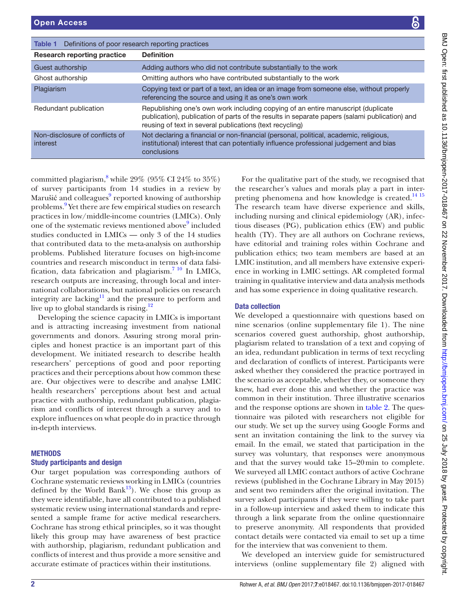| Ì                                  |
|------------------------------------|
|                                    |
|                                    |
|                                    |
| helionico - היה פס וכוונו          |
|                                    |
| $\vdots$                           |
|                                    |
|                                    |
|                                    |
|                                    |
|                                    |
| ;<br>;<br>;<br>;<br>;              |
| ¢                                  |
|                                    |
| ì                                  |
|                                    |
|                                    |
| シュン・コン                             |
|                                    |
|                                    |
|                                    |
| Ì.                                 |
|                                    |
|                                    |
|                                    |
|                                    |
|                                    |
|                                    |
|                                    |
| $\frac{2}{3}$                      |
| J                                  |
|                                    |
|                                    |
|                                    |
| けろここ ろころころこ ろこ けりこうりこうろこ りろここ りろここ |
|                                    |
| i                                  |
|                                    |
|                                    |
|                                    |
|                                    |
|                                    |
| ug//                               |
|                                    |
|                                    |
|                                    |
|                                    |
|                                    |
|                                    |
|                                    |
|                                    |
| ì                                  |
|                                    |
|                                    |
| -<br>ו                             |
|                                    |
|                                    |
|                                    |
| Ó                                  |
|                                    |
| J                                  |
| š                                  |
|                                    |
|                                    |
|                                    |
| :                                  |
| į<br>֠                             |
|                                    |
| ١                                  |

<span id="page-1-0"></span>

| <b>Table 1</b> Definitions of poor research reporting practices |                                                                                                                                                                                                                                               |  |  |  |
|-----------------------------------------------------------------|-----------------------------------------------------------------------------------------------------------------------------------------------------------------------------------------------------------------------------------------------|--|--|--|
| <b>Research reporting practice</b>                              | <b>Definition</b>                                                                                                                                                                                                                             |  |  |  |
| Guest authorship                                                | Adding authors who did not contribute substantially to the work                                                                                                                                                                               |  |  |  |
| Ghost authorship                                                | Omitting authors who have contributed substantially to the work                                                                                                                                                                               |  |  |  |
| Plagiarism                                                      | Copying text or part of a text, an idea or an image from someone else, without properly<br>referencing the source and using it as one's own work                                                                                              |  |  |  |
| Redundant publication                                           | Republishing one's own work including copying of an entire manuscript (duplicate<br>publication), publication of parts of the results in separate papers (salami publication) and<br>reusing of text in several publications (text recycling) |  |  |  |
| Non-disclosure of conflicts of<br>interest                      | Not declaring a financial or non-financial (personal, political, academic, religious,<br>institutional) interest that can potentially influence professional judgement and bias<br>conclusions                                                |  |  |  |

committed plagiarism,<sup>8</sup> while 29% (95% CI 24% to 35%) of survey participants from 14 studies in a review by Marušić and colleagues<sup>[9](#page-9-4)</sup> reported knowing of authorship problems.<sup>9</sup> Yet there are few empirical studies on research practices in low/middle-income countries (LMICs). Only one of the systematic reviews mentioned above<sup>[9](#page-9-4)</sup> included studies conducted in LMICs — only 3 of the 14 studies that contributed data to the meta-analysis on authorship problems. Published literature focuses on high-income countries and research misconduct in terms of data falsification, data fabrication and plagiarism. $710$  In LMICs, research outputs are increasing, through local and international collaborations, but national policies on research integrity are lacking<sup>[11](#page-9-5)</sup> and the pressure to perform and live up to global standards is rising.<sup>12</sup>

Developing the science capacity in LMICs is important and is attracting increasing investment from national governments and donors. Assuring strong moral principles and honest practice is an important part of this development. We initiated research to describe health researchers' perceptions of good and poor reporting practices and their perceptions about how common these are. Our objectives were to describe and analyse LMIC health researchers' perceptions about best and actual practice with authorship, redundant publication, plagiarism and conflicts of interest through a survey and to explore influences on what people do in practice through in-depth interviews.

#### **METHODS**

#### Study participants and design

Our target population was corresponding authors of Cochrane systematic reviews working in LMICs (countries defined by the World Bank<sup>[13](#page-9-7)</sup>). We chose this group as they were identifiable, have all contributed to a published systematic review using international standards and represented a sample frame for active medical researchers. Cochrane has strong ethical principles, so it was thought likely this group may have awareness of best practice with authorship, plagiarism, redundant publication and conflicts of interest and thus provide a more sensitive and accurate estimate of practices within their institutions.

For the qualitative part of the study, we recognised that the researcher's values and morals play a part in interpreting phenomena and how knowledge is created.<sup>14 15</sup> The research team have diverse experience and skills, including nursing and clinical epidemiology (AR), infectious diseases (PG), publication ethics (EW) and public health (TY). They are all authors on Cochrane reviews, have editorial and training roles within Cochrane and publication ethics; two team members are based at an LMIC institution, and all members have extensive experience in working in LMIC settings. AR completed formal training in qualitative interview and data analysis methods and has some experience in doing qualitative research.

# Data collection

We developed a questionnaire with questions based on nine scenarios (online [supplementary file 1\)](https://dx.doi.org/10.1136/bmjopen-2017-018467). The nine scenarios covered guest authorship, ghost authorship, plagiarism related to translation of a text and copying of an idea, redundant publication in terms of text recycling and declaration of conflicts of interest. Participants were asked whether they considered the practice portrayed in the scenario as acceptable, whether they, or someone they knew, had ever done this and whether the practice was common in their institution. Three illustrative scenarios and the response options are shown in [table](#page-2-0) 2. The questionnaire was piloted with researchers not eligible for our study. We set up the survey using Google Forms and sent an invitation containing the link to the survey via email. In the email, we stated that participation in the survey was voluntary, that responses were anonymous and that the survey would take 15–20min to complete. We surveyed all LMIC contact authors of active Cochrane reviews (published in the Cochrane Library in May 2015) and sent two reminders after the original invitation. The survey asked participants if they were willing to take part in a follow-up interview and asked them to indicate this through a link separate from the online questionnaire to preserve anonymity. All respondents that provided contact details were contacted via email to set up a time for the interview that was convenient to them.

We developed an interview guide for semistructured interviews (online [supplementary file 2\)](https://dx.doi.org/10.1136/bmjopen-2017-018467) aligned with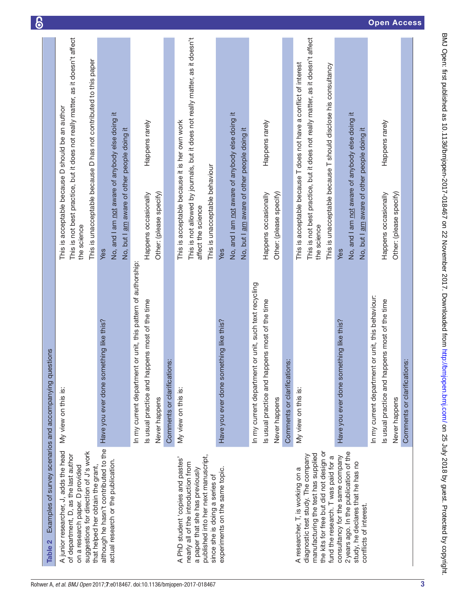<span id="page-2-0"></span>

| Table 2                                                                                                                                                                                        | Examples of survey scenarios and accompanying questions       |                                                                                                                                                                                                                       |
|------------------------------------------------------------------------------------------------------------------------------------------------------------------------------------------------|---------------------------------------------------------------|-----------------------------------------------------------------------------------------------------------------------------------------------------------------------------------------------------------------------|
| A junior researcher, J, adds the head<br>suggestions for direction of J's work<br>of department, D, as the last author<br>on a research paper. D provided<br>that helped her obtain the grant, | My view on this is:                                           | This is not best practice, but it does not really matter, as it doesn't affect<br>This is unacceptable because D has not contributed to this paper<br>This is acceptable because D should be an author<br>the science |
| although he hasn't contributed to the<br>actual research or the publication.                                                                                                                   | Have you ever done something like this?                       | No, and I am not aware of anybody else doing it<br>No, but I am aware of other people doing it<br>Yes                                                                                                                 |
|                                                                                                                                                                                                | In my current department or unit, this pattern of authorship: |                                                                                                                                                                                                                       |
|                                                                                                                                                                                                | Is usual practice and happens most of the time                | Happens rarely<br>Happens occasionally                                                                                                                                                                                |
|                                                                                                                                                                                                | Never happens                                                 | Other: (please specify)                                                                                                                                                                                               |
|                                                                                                                                                                                                | Comments or clarifications:                                   |                                                                                                                                                                                                                       |
| A PhD student 'copies and pastes'<br>nearly all of the introduction from                                                                                                                       | My view on this is:                                           | This is not allowed by journals, but it does not really matter, as it doesn't<br>This is acceptable because it is her own work                                                                                        |
| published into her next manuscript,<br>a paper that she has previously                                                                                                                         |                                                               | affect the science                                                                                                                                                                                                    |
| since she is doing a series of                                                                                                                                                                 |                                                               | This is unacceptable behaviour                                                                                                                                                                                        |
| experiments on the same topic.                                                                                                                                                                 | Have you ever done something like this?                       | Yes                                                                                                                                                                                                                   |
|                                                                                                                                                                                                |                                                               | No, and I am not aware of anybody else doing it                                                                                                                                                                       |
|                                                                                                                                                                                                |                                                               | No, but I am aware of other people doing it                                                                                                                                                                           |
|                                                                                                                                                                                                | In my current department or unit, such text recycling         |                                                                                                                                                                                                                       |
|                                                                                                                                                                                                | Is usual practice and happens most of the time                | Happens rarely<br>Happens occasionally                                                                                                                                                                                |
|                                                                                                                                                                                                | Never happens                                                 | Other: (please specify)                                                                                                                                                                                               |
|                                                                                                                                                                                                | Comments or clarifications:                                   |                                                                                                                                                                                                                       |
| A researcher, T, is working on a                                                                                                                                                               | My view on this is:                                           | This is acceptable because T does not have a conflict of interest                                                                                                                                                     |
| the kits for free but did not design or<br>manufacturing the test has supplied<br>diagnostic test study. The company                                                                           |                                                               | This is not best practice, but it does not really matter, as it doesn't affect<br>the science                                                                                                                         |
| fund the research. T was paid for a                                                                                                                                                            |                                                               | This is unacceptable because T should disclose his consultancy                                                                                                                                                        |
| consultancy for the same company                                                                                                                                                               | Have you ever done something like this?                       | Yes                                                                                                                                                                                                                   |
| 2 years ago. In the publication of the<br>study, he declares that he has no<br>conflicts of interest.                                                                                          |                                                               | No, and I am not aware of anybody else doing it<br>No, but I am aware of other people doing it                                                                                                                        |
|                                                                                                                                                                                                | In my current department or unit, this behaviour:             |                                                                                                                                                                                                                       |
|                                                                                                                                                                                                | Is usual practice and happens most of the time                | Happens rarely<br>Happens occasionally                                                                                                                                                                                |
|                                                                                                                                                                                                | Never happens                                                 | Other: (please specify)                                                                                                                                                                                               |
|                                                                                                                                                                                                | Comments or clarifications:                                   |                                                                                                                                                                                                                       |
|                                                                                                                                                                                                |                                                               |                                                                                                                                                                                                                       |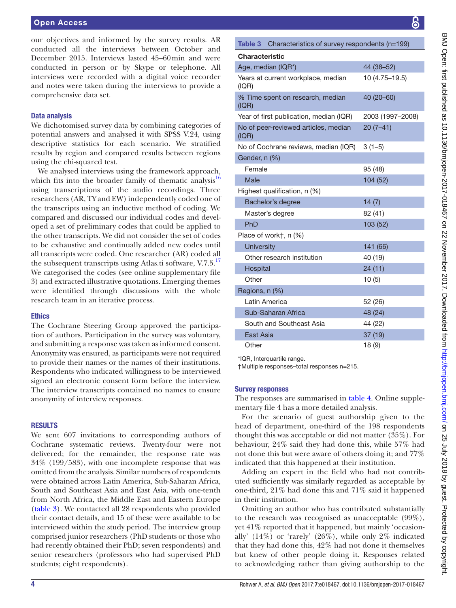our objectives and informed by the survey results. AR conducted all the interviews between October and December 2015. Interviews lasted 45–60min and were conducted in person or by Skype or telephone. All interviews were recorded with a digital voice recorder and notes were taken during the interviews to provide a comprehensive data set.

# Data analysis

We dichotomised survey data by combining categories of potential answers and analysed it with SPSS V.24, using descriptive statistics for each scenario. We stratified results by region and compared results between regions using the chi-squared test.

We analysed interviews using the framework approach, which fits into the broader family of thematic analysis<sup>16</sup> using transcriptions of the audio recordings. Three researchers (AR, TY and EW) independently coded one of the transcripts using an inductive method of coding. We compared and discussed our individual codes and developed a set of preliminary codes that could be applied to the other transcripts. We did not consider the set of codes to be exhaustive and continually added new codes until all transcripts were coded. One researcher (AR) coded all the subsequent transcripts using Atlas.ti software, V.7.5.<sup>17</sup> We categorised the codes (see online [supplementary file](https://dx.doi.org/10.1136/bmjopen-2017-018467) [3\)](https://dx.doi.org/10.1136/bmjopen-2017-018467) and extracted illustrative quotations. Emerging themes were identified through discussions with the whole research team in an iterative process.

# **Ethics**

The Cochrane Steering Group approved the participation of authors. Participation in the survey was voluntary, and submitting a response was taken as informed consent. Anonymity was ensured, as participants were not required to provide their names or the names of their institutions. Respondents who indicated willingness to be interviewed signed an electronic consent form before the interview. The interview transcripts contained no names to ensure anonymity of interview responses.

# **RESULTS**

We sent 607 invitations to corresponding authors of Cochrane systematic reviews. Twenty-four were not delivered; for the remainder, the response rate was 34% (199/583), with one incomplete response that was omitted from the analysis. Similar numbers of respondents were obtained across Latin America, Sub-Saharan Africa, South and Southeast Asia and East Asia, with one-tenth from North Africa, the Middle East and Eastern Europe ([table](#page-2-0) 3). We contacted all 28 respondents who provided their contact details, and 15 of these were available to be interviewed within the study period. The interview group comprised junior researchers (PhD students or those who had recently obtained their PhD; seven respondents) and senior researchers (professors who had supervised PhD students; eight respondents).

<span id="page-3-0"></span>

| Table 3<br>Characteristics of survey respondents (n=199) |                  |  |  |  |  |
|----------------------------------------------------------|------------------|--|--|--|--|
| <b>Characteristic</b>                                    |                  |  |  |  |  |
| Age, median (IQR*)                                       | 44 (38–52)       |  |  |  |  |
| Years at current workplace, median<br>(IQR)              | 10 (4.75 - 19.5) |  |  |  |  |
| % Time spent on research, median<br>(IQR)                | 40 (20-60)       |  |  |  |  |
| Year of first publication, median (IQR)                  | 2003 (1997-2008) |  |  |  |  |
| No of peer-reviewed articles, median<br>(IQR)            | $20(7-41)$       |  |  |  |  |
| No of Cochrane reviews, median (IQR)                     | $3(1-5)$         |  |  |  |  |
| Gender, n (%)                                            |                  |  |  |  |  |
| Female                                                   | 95 (48)          |  |  |  |  |
| Male                                                     | 104 (52)         |  |  |  |  |
| Highest qualification, n (%)                             |                  |  |  |  |  |
| Bachelor's degree                                        | 14(7)            |  |  |  |  |
| Master's degree                                          | 82 (41)          |  |  |  |  |
| PhD                                                      | 103 (52)         |  |  |  |  |
| Place of work†, n (%)                                    |                  |  |  |  |  |
| <b>University</b>                                        | 141 (66)         |  |  |  |  |
| Other research institution                               | 40 (19)          |  |  |  |  |
| Hospital                                                 | 24 (11)          |  |  |  |  |
| Other                                                    | 10(5)            |  |  |  |  |
| Regions, n (%)                                           |                  |  |  |  |  |
| Latin America                                            | 52 (26)          |  |  |  |  |
| Sub-Saharan Africa                                       | 48 (24)          |  |  |  |  |
| South and Southeast Asia                                 | 44 (22)          |  |  |  |  |
| East Asia                                                | 37 (19)          |  |  |  |  |
| Other                                                    | 18(9)            |  |  |  |  |
|                                                          |                  |  |  |  |  |

\*IQR, Interquartile range.

†Multiple responses–total responses n=215.

# Survey responses

The responses are summarised in [table](#page-3-0) 4. Online [supple](https://dx.doi.org/10.1136/bmjopen-2017-018467)[mentary file 4](https://dx.doi.org/10.1136/bmjopen-2017-018467) has a more detailed analysis.

For the scenario of guest authorship given to the head of department, one-third of the 198 respondents thought this was acceptable or did not matter (35%). For behaviour, 24% said they had done this, while 57% had not done this but were aware of others doing it; and 77% indicated that this happened at their institution.

Adding an expert in the field who had not contributed sufficiently was similarly regarded as acceptable by one-third, 21% had done this and 71% said it happened in their institution.

Omitting an author who has contributed substantially to the research was recognised as unacceptable (99%), yet 41% reported that it happened, but mainly 'occasionally' (14%) or 'rarely' (26%), while only 2% indicated that they had done this, 42% had not done it themselves but knew of other people doing it. Responses related to acknowledging rather than giving authorship to the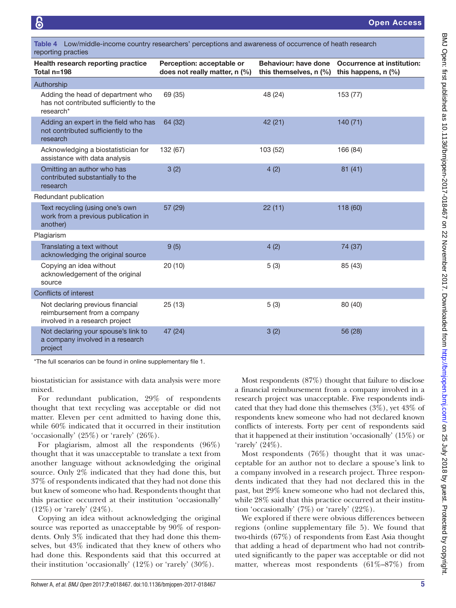| reporting practies                                                                                 |                                                            |                                                  |                                                        |  |
|----------------------------------------------------------------------------------------------------|------------------------------------------------------------|--------------------------------------------------|--------------------------------------------------------|--|
| Health research reporting practice<br>Total n=198                                                  | Perception: acceptable or<br>does not really matter, n (%) | Behaviour: have done<br>this themselves, $n$ (%) | Occurrence at institution:<br>this happens, $n$ $(\%)$ |  |
| Authorship                                                                                         |                                                            |                                                  |                                                        |  |
| Adding the head of department who<br>has not contributed sufficiently to the<br>research*          | 69 (35)                                                    | 48 (24)                                          | 153 (77)                                               |  |
| Adding an expert in the field who has<br>not contributed sufficiently to the<br>research           | 64 (32)                                                    | 42 (21)                                          | 140 (71)                                               |  |
| Acknowledging a biostatistician for<br>assistance with data analysis                               | 132 (67)                                                   | 103 (52)                                         | 166 (84)                                               |  |
| Omitting an author who has<br>contributed substantially to the<br>research                         | 3(2)                                                       | 4(2)                                             | 81(41)                                                 |  |
| Redundant publication                                                                              |                                                            |                                                  |                                                        |  |
| Text recycling (using one's own<br>work from a previous publication in<br>another)                 | 57 (29)                                                    | 22(11)                                           | 118 (60)                                               |  |
| Plagiarism                                                                                         |                                                            |                                                  |                                                        |  |
| Translating a text without<br>acknowledging the original source                                    | 9(5)                                                       | 4(2)                                             | 74 (37)                                                |  |
| Copying an idea without<br>acknowledgement of the original<br>source                               | 20(10)                                                     | 5(3)                                             | 85 (43)                                                |  |
| Conflicts of interest                                                                              |                                                            |                                                  |                                                        |  |
| Not declaring previous financial<br>reimbursement from a company<br>involved in a research project | 25(13)                                                     | 5(3)                                             | 80 (40)                                                |  |
| Not declaring your spouse's link to<br>a company involved in a research<br>project                 | 47 (24)                                                    | 3(2)                                             | 56 (28)                                                |  |

Table 4 Low/middle-income country researchers' perceptions and awareness of occurrence of heath research

\*The full scenarios can be found in online [supplementary file 1.](https://dx.doi.org/10.1136/bmjopen-2017-018467)

biostatistician for assistance with data analysis were more mixed.

For redundant publication, 29% of respondents thought that text recycling was acceptable or did not matter. Eleven per cent admitted to having done this, while 60% indicated that it occurred in their institution 'occasionally' (25%) or 'rarely' (26%).

For plagiarism, almost all the respondents (96%) thought that it was unacceptable to translate a text from another language without acknowledging the original source. Only 2% indicated that they had done this, but 37% of respondents indicated that they had not done this but knew of someone who had. Respondents thought that this practice occurred at their institution 'occasionally' (12%) or 'rarely' (24%).

Copying an idea without acknowledging the original source was reported as unacceptable by 90% of respondents. Only 3% indicated that they had done this themselves, but 43% indicated that they knew of others who had done this. Respondents said that this occurred at their institution 'occasionally' (12%) or 'rarely' (30%).

Most respondents (87%) thought that failure to disclose a financial reimbursement from a company involved in a research project was unacceptable. Five respondents indicated that they had done this themselves (3%), yet 43% of respondents knew someone who had not declared known conflicts of interests. Forty per cent of respondents said that it happened at their institution 'occasionally' (15%) or 'rarely' (24%).

Most respondents (76%) thought that it was unacceptable for an author not to declare a spouse's link to a company involved in a research project. Three respondents indicated that they had not declared this in the past, but 29% knew someone who had not declared this, while 28% said that this practice occurred at their institution 'occasionally' (7%) or 'rarely' (22%).

We explored if there were obvious differences between regions (online [supplementary file 5\)](https://dx.doi.org/10.1136/bmjopen-2017-018467). We found that two-thirds (67%) of respondents from East Asia thought that adding a head of department who had not contributed significantly to the paper was acceptable or did not matter, whereas most respondents (61%–87%) from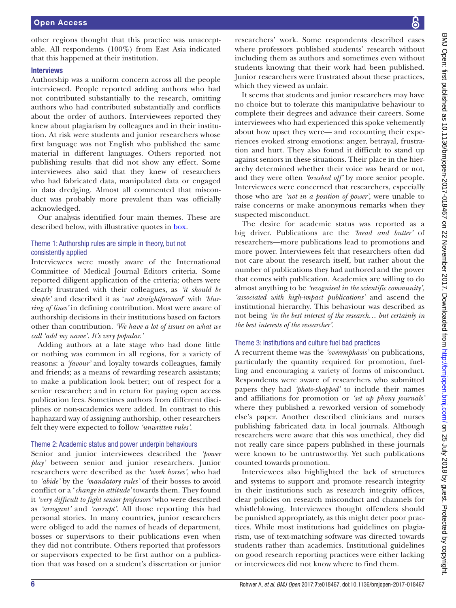other regions thought that this practice was unacceptable. All respondents (100%) from East Asia indicated that this happened at their institution.

#### **Interviews**

Authorship was a uniform concern across all the people interviewed. People reported adding authors who had not contributed substantially to the research, omitting authors who had contributed substantially and conflicts about the order of authors. Interviewees reported they knew about plagiarism by colleagues and in their institution. At risk were students and junior researchers whose first language was not English who published the same material in different languages. Others reported not publishing results that did not show any effect. Some interviewees also said that they knew of researchers who had fabricated data, manipulated data or engaged in data dredging. Almost all commented that misconduct was probably more prevalent than was officially acknowledged.

Our analysis identified four main themes. These are described below, with illustrative quotes in [box](#page-6-0).

#### Theme 1: Authorship rules are simple in theory, but not consistently applied

Interviewees were mostly aware of the International Committee of Medical Journal Editors criteria. Some reported diligent application of the criteria; others were clearly frustrated with their colleagues, as *'it should be simple'* and described it as '*not straightforward*' with *'blurring of lines'* in defining contribution. Most were aware of authorship decisions in their institutions based on factors other than contribution. *'We have a lot of issues on what we call 'add my name'. It's very popular.'*

Adding authors at a late stage who had done little or nothing was common in all regions, for a variety of reasons: a *'favour'* and loyalty towards colleagues, family and friends; as a means of rewarding research assistants; to make a publication look better; out of respect for a senior researcher; and in return for paying open access publication fees. Sometimes authors from different disciplines or non-academics were added. In contrast to this haphazard way of assigning authorship, other researchers felt they were expected to follow *'unwritten rules'*.

#### Theme 2: Academic status and power underpin behaviours

Senior and junior interviewees described the *'power play'* between senior and junior researchers. Junior researchers were described as the *'work horses',* who had to *'abide'* by the *'mandatory rules'* of their bosses to avoid conflict or a '*change in attitude'* towards them. They found it *'very difficult to fight senior professors'* who were described as *'arrogant'* and *'corrupt'.* All those reporting this had personal stories. In many countries, junior researchers were obliged to add the names of heads of department, bosses or supervisors to their publications even when they did not contribute. Others reported that professors or supervisors expected to be first author on a publication that was based on a student's dissertation or junior

researchers' work. Some respondents described cases where professors published students' research without including them as authors and sometimes even without students knowing that their work had been published. Junior researchers were frustrated about these practices, which they viewed as unfair.

It seems that students and junior researchers may have no choice but to tolerate this manipulative behaviour to complete their degrees and advance their careers. Some interviewees who had experienced this spoke vehemently about how upset they were— and recounting their experiences evoked strong emotions: anger, betrayal, frustration and hurt. They also found it difficult to stand up against seniors in these situations. Their place in the hierarchy determined whether their voice was heard or not, and they were often *'brushed off'* by more senior people. Interviewees were concerned that researchers, especially those who are *'not in a position of power',* were unable to raise concerns or make anonymous remarks when they suspected misconduct.

The desire for academic status was reported as a big driver. Publications are the *'bread and butter'* of researchers—more publications lead to promotions and more power. Interviewees felt that researchers often did not care about the research itself, but rather about the number of publications they had authored and the power that comes with publication. Academics are willing to do almost anything to be *'recognised in the scientific community', 'associated with high-impact publications'* and ascend the institutional hierarchy. This behaviour was described as not being *'in the best interest of the research… but certainly in the best interests of the researcher'.*

# Theme 3: Institutions and culture fuel bad practices

A recurrent theme was the *'overemphasis'* on publications, particularly the quantity required for promotion, fuelling and encouraging a variety of forms of misconduct. Respondents were aware of researchers who submitted papers they had *'photo-shopped'* to include their names and affiliations for promotion or *'set up phony journals'* where they published a reworked version of somebody else's paper. Another described clinicians and nurses publishing fabricated data in local journals. Although researchers were aware that this was unethical, they did not really care since papers published in these journals were known to be untrustworthy. Yet such publications counted towards promotion.

Interviewees also highlighted the lack of structures and systems to support and promote research integrity in their institutions such as research integrity offices, clear policies on research misconduct and channels for whistleblowing. Interviewees thought offenders should be punished appropriately, as this might deter poor practices. While most institutions had guidelines on plagiarism, use of text-matching software was directed towards students rather than academics. Institutional guidelines on good research reporting practices were either lacking or interviewees did not know where to find them.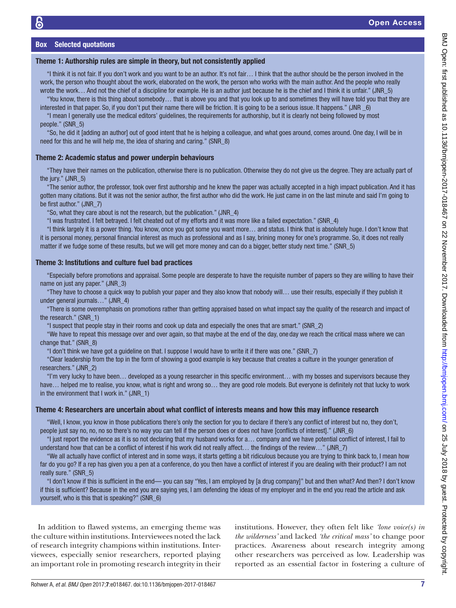#### Box Selected quotations

#### <span id="page-6-0"></span>Theme 1: Authorship rules are simple in theory, but not consistently applied

"I think it is not fair. If you don't work and you want to be an author. It's not fair… I think that the author should be the person involved in the work, the person who thought about the work, elaborated on the work, the person who works with the main author. And the people who really wrote the work… And not the chief of a discipline for example. He is an author just because he is the chief and I think it is unfair." (JNR\_5)

"You know, there is this thing about somebody… that is above you and that you look up to and sometimes they will have told you that they are interested in that paper. So, if you don't put their name there will be friction. It is going to be a serious issue. It happens." (JNR \_6)

"I mean I generally use the medical editors' guidelines, the requirements for authorship, but it is clearly not being followed by most people." (SNR\_5)

"So, he did it [adding an author] out of good intent that he is helping a colleague, and what goes around, comes around. One day, I will be in need for this and he will help me, the idea of sharing and caring." (SNR\_8)

#### Theme 2: Academic status and power underpin behaviours

"They have their names on the publication, otherwise there is no publication. Otherwise they do not give us the degree. They are actually part of the jury." (JNR\_5)

"The senior author, the professor, took over first authorship and he knew the paper was actually accepted in a high impact publication. And it has gotten many citations. But it was not the senior author, the first author who did the work. He just came in on the last minute and said I'm going to be first author." (JNR\_7)

"So, what they care about is not the research, but the publication." (JNR\_4)

"I was frustrated. I felt betrayed. I felt cheated out of my efforts and it was more like a failed expectation." (SNR\_4)

"I think largely it is a power thing. You know, once you got some you want more… and status. I think that is absolutely huge. I don't know that it is personal money, personal financial interest as much as professional and as I say, brining money for one's programme. So, it does not really matter if we fudge some of these results, but we will get more money and can do a bigger, better study next time." (SNR\_5)

#### Theme 3: Institutions and culture fuel bad practices

"Especially before promotions and appraisal. Some people are desperate to have the requisite number of papers so they are willing to have their name on just any paper." (JNR\_3)

"They have to choose a quick way to publish your paper and they also know that nobody will… use their results, especially if they publish it under general journals…" (JNR\_4)

"There is some overemphasis on promotions rather than getting appraised based on what impact say the quality of the research and impact of the research." (SNR\_1)

"I suspect that people stay in their rooms and cook up data and especially the ones that are smart." (SNR\_2)

"We have to repeat this message over and over again, so that maybe at the end of the day, one day we reach the critical mass where we can change that." (SNR\_8)

"I don't think we have got a guideline on that. I suppose I would have to write it if there was one." (SNR\_7)

"Clear leadership from the top in the form of showing a good example is key because that creates a culture in the younger generation of researchers." (JNR\_2)

"I'm very lucky to have been… developed as a young researcher in this specific environment… with my bosses and supervisors because they have… helped me to realise, you know, what is right and wrong so… they are good role models. But everyone is definitely not that lucky to work in the environment that I work in." (JNR\_1)

#### Theme 4: Researchers are uncertain about what conflict of interests means and how this may influence research

"Well, I know, you know in those publications there's only the section for you to declare if there's any conflict of interest but no, they don't, people just say no, no, no so there's no way you can tell if the person does or does not have [conflicts of interest]." (JNR\_6)

"I just report the evidence as it is so not declaring that my husband works for a… company and we have potential conflict of interest, I fail to understand how that can be a conflict of interest if his work did not really affect… the findings of the review…" (JNR\_7)

"We all actually have conflict of interest and in some ways, it starts getting a bit ridiculous because you are trying to think back to, I mean how far do you go? If a rep has given you a pen at a conference, do you then have a conflict of interest if you are dealing with their product? I am not really sure." (SNR\_5)

"I don't know if this is sufficient in the end— you can say "Yes, I am employed by [a drug company]" but and then what? And then? I don't know if this is sufficient? Because in the end you are saying yes, I am defending the ideas of my employer and in the end you read the article and ask yourself, who is this that is speaking?" (SNR\_6)

In addition to flawed systems, an emerging theme was the culture within institutions. Interviewees noted the lack of research integrity champions within institutions. Interviewees, especially senior researchers, reported playing an important role in promoting research integrity in their

institutions. However, they often felt like *'lone voice(s) in the wilderness'* and lacked *'the critical mass'* to change poor practices. Awareness about research integrity among other researchers was perceived as low. Leadership was reported as an essential factor in fostering a culture of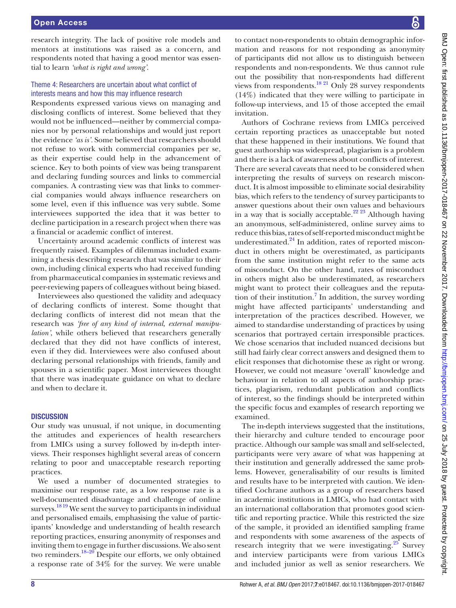research integrity. The lack of positive role models and mentors at institutions was raised as a concern, and respondents noted that having a good mentor was essential to learn *'what is right and wrong'*.

#### Theme 4: Researchers are uncertain about what conflict of interests means and how this may influence research

Respondents expressed various views on managing and disclosing conflicts of interest. Some believed that they would not be influenced—neither by commercial companies nor by personal relationships and would just report the evidence *'as is'.* Some believed that researchers should not refuse to work with commercial companies per se, as their expertise could help in the advancement of science. Key to both points of view was being transparent and declaring funding sources and links to commercial companies. A contrasting view was that links to commercial companies would always influence researchers on some level, even if this influence was very subtle. Some interviewees supported the idea that it was better to decline participation in a research project when there was a financial or academic conflict of interest.

Uncertainty around academic conflicts of interest was frequently raised. Examples of dilemmas included examining a thesis describing research that was similar to their own, including clinical experts who had received funding from pharmaceutical companies in systematic reviews and peer-reviewing papers of colleagues without being biased.

Interviewees also questioned the validity and adequacy of declaring conflicts of interest. Some thought that declaring conflicts of interest did not mean that the research was *'free of any kind of internal, external manipulation'*, while others believed that researchers generally declared that they did not have conflicts of interest, even if they did. Interviewees were also confused about declaring personal relationships with friends, family and spouses in a scientific paper. Most interviewees thought that there was inadequate guidance on what to declare and when to declare it.

# **DISCUSSION**

Our study was unusual, if not unique, in documenting the attitudes and experiences of health researchers from LMICs using a survey followed by in-depth interviews. Their responses highlight several areas of concern relating to poor and unacceptable research reporting practices.

We used a number of documented strategies to maximise our response rate, as a low response rate is a well-documented disadvantage and challenge of online surveys.<sup>1819</sup> We sent the survey to participants in individual and personalised emails, emphasising the value of participants' knowledge and understanding of health research reporting practices, ensuring anonymity of responses and inviting them to engage in further discussions. We also sent two reminders.<sup>[18–20](#page-9-11)</sup> Despite our efforts, we only obtained a response rate of 34% for the survey. We were unable

to contact non-respondents to obtain demographic information and reasons for not responding as anonymity of participants did not allow us to distinguish between respondents and non-respondents. We thus cannot rule out the possibility that non-respondents had different views from respondents[.18 21](#page-9-11) Only 28 survey respondents (14%) indicated that they were willing to participate in follow-up interviews, and 15 of those accepted the email invitation.

Authors of Cochrane reviews from LMICs perceived certain reporting practices as unacceptable but noted that these happened in their institutions. We found that guest authorship was widespread, plagiarism is a problem and there is a lack of awareness about conflicts of interest. There are several caveats that need to be considered when interpreting the results of surveys on research misconduct. It is almost impossible to eliminate social desirability bias, which refers to the tendency of survey participants to answer questions about their own values and behaviours in a way that is socially acceptable.<sup>[22 23](#page-9-12)</sup> Although having an anonymous, self-administered, online survey aims to reduce this bias, rates of self-reported misconduct might be underestimated[.24](#page-9-13) In addition, rates of reported misconduct in others might be overestimated, as participants from the same institution might refer to the same acts of misconduct. On the other hand, rates of misconduct in others might also be underestimated, as researchers might want to protect their colleagues and the reputa-tion of their institution.<sup>[7](#page-9-2)</sup> In addition, the survey wording might have affected participants' understanding and interpretation of the practices described. However, we aimed to standardise understanding of practices by using scenarios that portrayed certain irresponsible practices. We chose scenarios that included nuanced decisions but still had fairly clear correct answers and designed them to elicit responses that dichotomise these as right or wrong. However, we could not measure 'overall' knowledge and behaviour in relation to all aspects of authorship practices, plagiarism, redundant publication and conflicts of interest, so the findings should be interpreted within the specific focus and examples of research reporting we examined.

The in-depth interviews suggested that the institutions, their hierarchy and culture tended to encourage poor practice. Although our sample was small and self-selected, participants were very aware of what was happening at their institution and generally addressed the same problems. However, generalisability of our results is limited and results have to be interpreted with caution. We identified Cochrane authors as a group of researchers based in academic institutions in LMICs, who had contact with an international collaboration that promotes good scientific and reporting practice. While this restricted the size of the sample, it provided an identified sampling frame and respondents with some awareness of the aspects of research integrity that we were investigating. $25$  Survey and interview participants were from various LMICs and included junior as well as senior researchers. We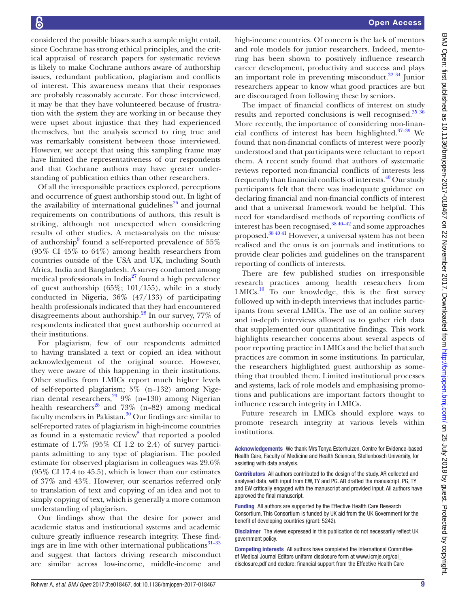considered the possible biases such a sample might entail, since Cochrane has strong ethical principles, and the critical appraisal of research papers for systematic reviews is likely to make Cochrane authors aware of authorship issues, redundant publication, plagiarism and conflicts of interest. This awareness means that their responses are probably reasonably accurate. For those interviewed, it may be that they have volunteered because of frustration with the system they are working in or because they were upset about injustice that they had experienced themselves, but the analysis seemed to ring true and was remarkably consistent between those interviewed. However, we accept that using this sampling frame may have limited the representativeness of our respondents and that Cochrane authors may have greater understanding of publication ethics than other researchers.

Of all the irresponsible practices explored, perceptions and occurrence of guest authorship stood out. In light of the availability of international guidelines<sup>26</sup> and journal requirements on contributions of authors, this result is striking, although not unexpected when considering results of other studies. A meta-analysis on the misuse of authorship<sup>[9](#page-9-4)</sup> found a self-reported prevalence of  $55\%$ (95% CI 45% to 64%) among health researchers from countries outside of the USA and UK, including South Africa, India and Bangladesh. A survey conducted among medical professionals in India $2^7$  found a high prevalence of guest authorship (65%; 101/155), while in a study conducted in Nigeria, 36% (47/133) of participating health professionals indicated that they had encountered disagreements about authorship[.28](#page-9-17) In our survey, 77% of respondents indicated that guest authorship occurred at their institutions.

For plagiarism, few of our respondents admitted to having translated a text or copied an idea without acknowledgement of the original source. However, they were aware of this happening in their institutions. Other studies from LMICs report much higher levels of self-reported plagiarism; 5% (n=132) among Nige-rian dental researchers,<sup>[29](#page-9-18)</sup> 9% (n=130) among Nigerian health researchers<sup>[28](#page-9-17)</sup> and 73% (n=82) among medical faculty members in Pakistan. $30$  Our findings are similar to self-reported rates of plagiarism in high-income countries as found in a systematic review<sup>[8](#page-9-3)</sup> that reported a pooled estimate of 1.7% (95% CI 1.2 to 2.4) of survey participants admitting to any type of plagiarism. The pooled estimate for observed plagiarism in colleagues was 29.6% (95% CI 17.4 to 45.5), which is lower than our estimates of 37% and 43%. However, our scenarios referred only to translation of text and copying of an idea and not to simply copying of text, which is generally a more common understanding of plagiarism.

Our findings show that the desire for power and academic status and institutional systems and academic culture greatly influence research integrity. These findings are in line with other international publications $31-33$ and suggest that factors driving research misconduct are similar across low-income, middle-income and

high-income countries. Of concern is the lack of mentors and role models for junior researchers. Indeed, mentoring has been shown to positively influence research career development, productivity and success and plays an important role in preventing misconduct. $32\frac{34}{1}$  Junior researchers appear to know what good practices are but are discouraged from following these by seniors.

The impact of financial conflicts of interest on study results and reported conclusions is well recognised.<sup>35</sup> 36 More recently, the importance of considering non-financial conflicts of interest has been highlighted.<sup>37–39</sup> We found that non-financial conflicts of interest were poorly understood and that participants were reluctant to report them. A recent study found that authors of systematic reviews reported non-financial conflicts of interests less frequently than financial conflicts of interests.[40](#page-9-24) Our study participants felt that there was inadequate guidance on declaring financial and non-financial conflicts of interest and that a universal framework would be helpful. This need for standardised methods of reporting conflicts of interest has been recognised, $3840-42$  and some approaches proposed.[38 40 41](#page-9-25) However, a universal system has not been realised and the onus is on journals and institutions to provide clear policies and guidelines on the transparent reporting of conflicts of interests.

There are few published studies on irresponsible research practices among health researchers from  $LMICs.<sup>10</sup>$  To our knowledge, this is the first survey followed up with in-depth interviews that includes participants from several LMICs. The use of an online survey and in-depth interviews allowed us to gather rich data that supplemented our quantitative findings. This work highlights researcher concerns about several aspects of poor reporting practice in LMICs and the belief that such practices are common in some institutions. In particular, the researchers highlighted guest authorship as something that troubled them. Limited institutional processes and systems, lack of role models and emphasising promotions and publications are important factors thought to influence research integrity in LMICs.

Future research in LMICs should explore ways to promote research integrity at various levels within institutions.

Acknowledgements We thank Mrs Tonya Esterhuizen, Centre for Evidence-based Health Care, Faculty of Medicine and Health Sciences, Stellenbosch University, for assisting with data analysis.

Contributors All authors contributed to the design of the study. AR collected and analysed data, with input from EW, TY and PG. AR drafted the manuscript. PG, TY and EW critically engaged with the manuscript and provided input. All authors have approved the final manuscript.

Funding All authors are supported by the Effective Health Care Research Consortium. This Consortium is funded by UK aid from the UK Government for the benefit of developing countries (grant: 5242).

Disclaimer The views expressed in this publication do not necessarily reflect UK government policy.

Competing interests All authors have completed the International Committee of Medical Journal Editors uniform disclosure form at www.icmje.org/coi\_ disclosure.pdf and declare: financial support from the Effective Health Care